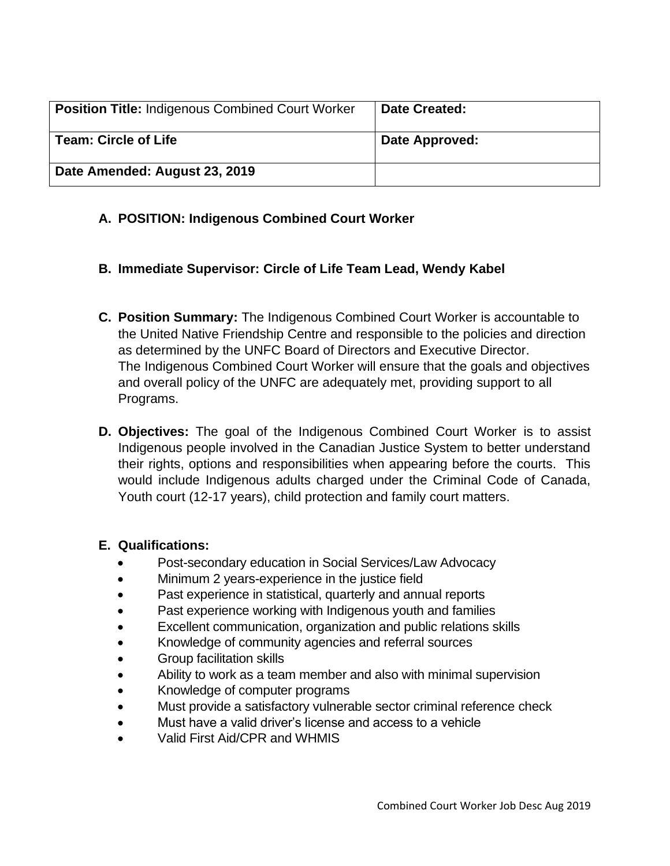| <b>Position Title: Indigenous Combined Court Worker</b> | <b>Date Created:</b> |
|---------------------------------------------------------|----------------------|
| <b>Team: Circle of Life</b>                             | Date Approved:       |
| Date Amended: August 23, 2019                           |                      |

## **A. POSITION: Indigenous Combined Court Worker**

- **B. Immediate Supervisor: Circle of Life Team Lead, Wendy Kabel**
- **C. Position Summary:** The Indigenous Combined Court Worker is accountable to the United Native Friendship Centre and responsible to the policies and direction as determined by the UNFC Board of Directors and Executive Director. The Indigenous Combined Court Worker will ensure that the goals and objectives and overall policy of the UNFC are adequately met, providing support to all Programs.
- **D. Objectives:** The goal of the Indigenous Combined Court Worker is to assist Indigenous people involved in the Canadian Justice System to better understand their rights, options and responsibilities when appearing before the courts. This would include Indigenous adults charged under the Criminal Code of Canada, Youth court (12-17 years), child protection and family court matters.

### **E. Qualifications:**

- Post-secondary education in Social Services/Law Advocacy
- Minimum 2 years-experience in the justice field
- Past experience in statistical, quarterly and annual reports
- Past experience working with Indigenous youth and families
- Excellent communication, organization and public relations skills
- Knowledge of community agencies and referral sources
- Group facilitation skills
- Ability to work as a team member and also with minimal supervision
- Knowledge of computer programs
- Must provide a satisfactory vulnerable sector criminal reference check
- Must have a valid driver's license and access to a vehicle
- Valid First Aid/CPR and WHMIS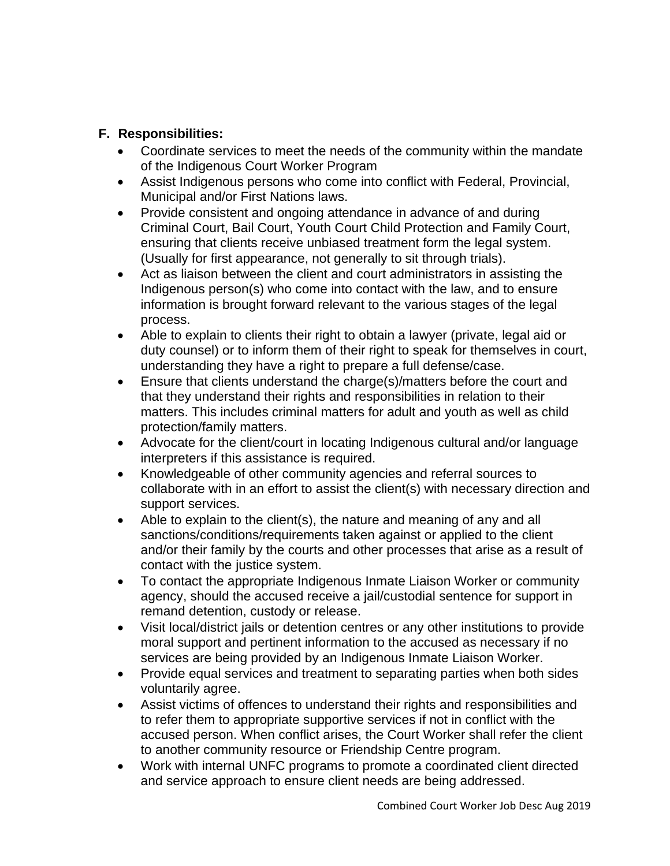## **F. Responsibilities:**

- Coordinate services to meet the needs of the community within the mandate of the Indigenous Court Worker Program
- Assist Indigenous persons who come into conflict with Federal, Provincial, Municipal and/or First Nations laws.
- Provide consistent and ongoing attendance in advance of and during Criminal Court, Bail Court, Youth Court Child Protection and Family Court, ensuring that clients receive unbiased treatment form the legal system. (Usually for first appearance, not generally to sit through trials).
- Act as liaison between the client and court administrators in assisting the Indigenous person(s) who come into contact with the law, and to ensure information is brought forward relevant to the various stages of the legal process.
- Able to explain to clients their right to obtain a lawyer (private, legal aid or duty counsel) or to inform them of their right to speak for themselves in court, understanding they have a right to prepare a full defense/case.
- Ensure that clients understand the charge(s)/matters before the court and that they understand their rights and responsibilities in relation to their matters. This includes criminal matters for adult and youth as well as child protection/family matters.
- Advocate for the client/court in locating Indigenous cultural and/or language interpreters if this assistance is required.
- Knowledgeable of other community agencies and referral sources to collaborate with in an effort to assist the client(s) with necessary direction and support services.
- Able to explain to the client(s), the nature and meaning of any and all sanctions/conditions/requirements taken against or applied to the client and/or their family by the courts and other processes that arise as a result of contact with the justice system.
- To contact the appropriate Indigenous Inmate Liaison Worker or community agency, should the accused receive a jail/custodial sentence for support in remand detention, custody or release.
- Visit local/district jails or detention centres or any other institutions to provide moral support and pertinent information to the accused as necessary if no services are being provided by an Indigenous Inmate Liaison Worker.
- Provide equal services and treatment to separating parties when both sides voluntarily agree.
- Assist victims of offences to understand their rights and responsibilities and to refer them to appropriate supportive services if not in conflict with the accused person. When conflict arises, the Court Worker shall refer the client to another community resource or Friendship Centre program.
- Work with internal UNFC programs to promote a coordinated client directed and service approach to ensure client needs are being addressed.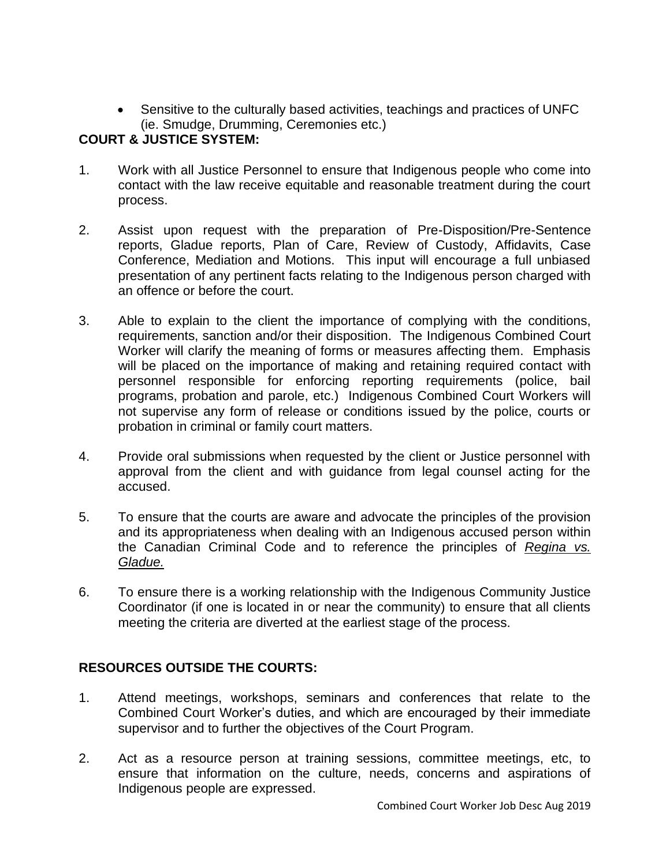• Sensitive to the culturally based activities, teachings and practices of UNFC (ie. Smudge, Drumming, Ceremonies etc.)

# **COURT & JUSTICE SYSTEM:**

- 1. Work with all Justice Personnel to ensure that Indigenous people who come into contact with the law receive equitable and reasonable treatment during the court process.
- 2. Assist upon request with the preparation of Pre-Disposition/Pre-Sentence reports, Gladue reports, Plan of Care, Review of Custody, Affidavits, Case Conference, Mediation and Motions. This input will encourage a full unbiased presentation of any pertinent facts relating to the Indigenous person charged with an offence or before the court.
- 3. Able to explain to the client the importance of complying with the conditions, requirements, sanction and/or their disposition. The Indigenous Combined Court Worker will clarify the meaning of forms or measures affecting them. Emphasis will be placed on the importance of making and retaining required contact with personnel responsible for enforcing reporting requirements (police, bail programs, probation and parole, etc.) Indigenous Combined Court Workers will not supervise any form of release or conditions issued by the police, courts or probation in criminal or family court matters.
- 4. Provide oral submissions when requested by the client or Justice personnel with approval from the client and with guidance from legal counsel acting for the accused.
- 5. To ensure that the courts are aware and advocate the principles of the provision and its appropriateness when dealing with an Indigenous accused person within the Canadian Criminal Code and to reference the principles of *Regina vs. Gladue.*
- 6. To ensure there is a working relationship with the Indigenous Community Justice Coordinator (if one is located in or near the community) to ensure that all clients meeting the criteria are diverted at the earliest stage of the process.

# **RESOURCES OUTSIDE THE COURTS:**

- 1. Attend meetings, workshops, seminars and conferences that relate to the Combined Court Worker's duties, and which are encouraged by their immediate supervisor and to further the objectives of the Court Program.
- 2. Act as a resource person at training sessions, committee meetings, etc, to ensure that information on the culture, needs, concerns and aspirations of Indigenous people are expressed.